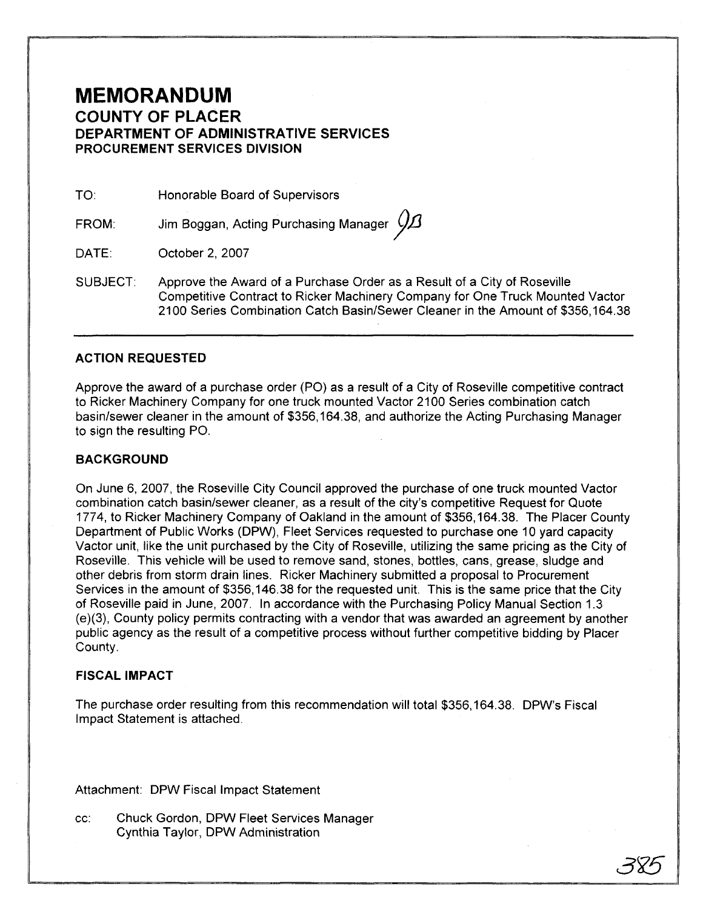## **MEMORANDUM COUNTY OF PLACER DEPARTMENT OF ADMINISTRATIVE SERVICES PROCUREMENT SERVICES DIVISION**

TO: Honorable Board of Supervisors

FROM: Jim Boggan, Acting Purchasing Manager  $\cancel{\cancel{D}}\!\!\!\!\!\!A$ 

DATE: October 2, 2007

SUBJECT: Approve the Award of a Purchase Order as a Result of a City of Roseville Competitive Contract to Ricker Machinery Company for One Truck Mounted Vactor 2100 Series Combination Catch BasinlSewer Cleaner in the Amount of \$356,164.38

#### **ACTION REQUESTED**

Approve the award of a purchase order (PO) as a result of a City of Roseville competitive contract to Ricker Machinery Company for one truck mounted Vactor 2100 Series combination catch basin/sewer cleaner in the amount of \$356,164.38, and authorize the Acting Purchasing Manager to sign the resulting PO.

#### **BACKGROUND**

On June 6, 2007, the Roseville City Council approved the purchase of one truck mounted Vactor combination catch basinlsewer cleaner, as a result of the city's competitive Request for Quote 1774, to Ricker Machinery Company of Oakland in the amount of \$356,164.38. The Placer County Department of Public Works (DPW), Fleet Services requested to purchase one 10 yard capacity Vactor unit, like the unit purchased by the City of Roseville, utilizing the same pricing as the City of Roseville. This vehicle will be used to remove sand, stones, bottles, cans, grease, sludge and other debris from storm drain lines. Ricker Machinery submitted a proposal to Procurement Services in the amount of \$356,146.38 for the requested unit. This is the same price that the City of Roseville paid in June, 2007. In accordance with the Purchasing Policy Manual Section 1.3 (e)(3), County policy permits contracting with a vendor that was awarded an agreement by another public agency as the result of a competitive process without further competitive bidding by Placer County.

#### **FISCAL IMPACT**

The purchase order resulting from this recommendation will total \$356,164.38. DPW's Fiscal Impact Statement is attached.

Attachment: DPW Fiscal Impact Statement

cc: Chuck Gordon, DPW Fleet Services Manager Cynthia Taylor, DPW Administration